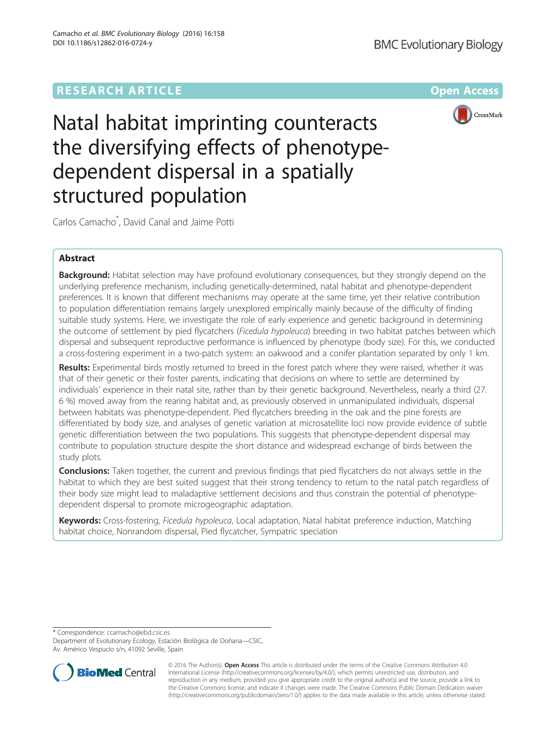# **RESEARCH ARTICLE Example 2014 12:30 The Contract of Contract ACCESS**



Natal habitat imprinting counteracts the diversifying effects of phenotypedependent dispersal in a spatially structured population

Carlos Camacho\* , David Canal and Jaime Potti

## Abstract

**Background:** Habitat selection may have profound evolutionary consequences, but they strongly depend on the underlying preference mechanism, including genetically-determined, natal habitat and phenotype-dependent preferences. It is known that different mechanisms may operate at the same time, yet their relative contribution to population differentiation remains largely unexplored empirically mainly because of the difficulty of finding suitable study systems. Here, we investigate the role of early experience and genetic background in determining the outcome of settlement by pied flycatchers (Ficedula hypoleuca) breeding in two habitat patches between which dispersal and subsequent reproductive performance is influenced by phenotype (body size). For this, we conducted a cross-fostering experiment in a two-patch system: an oakwood and a conifer plantation separated by only 1 km.

Results: Experimental birds mostly returned to breed in the forest patch where they were raised, whether it was that of their genetic or their foster parents, indicating that decisions on where to settle are determined by individuals' experience in their natal site, rather than by their genetic background. Nevertheless, nearly a third (27. 6 %) moved away from the rearing habitat and, as previously observed in unmanipulated individuals, dispersal between habitats was phenotype-dependent. Pied flycatchers breeding in the oak and the pine forests are differentiated by body size, and analyses of genetic variation at microsatellite loci now provide evidence of subtle genetic differentiation between the two populations. This suggests that phenotype-dependent dispersal may contribute to population structure despite the short distance and widespread exchange of birds between the study plots.

**Conclusions:** Taken together, the current and previous findings that pied flycatchers do not always settle in the habitat to which they are best suited suggest that their strong tendency to return to the natal patch regardless of their body size might lead to maladaptive settlement decisions and thus constrain the potential of phenotypedependent dispersal to promote microgeographic adaptation.

Keywords: Cross-fostering, Ficedula hypoleuca, Local adaptation, Natal habitat preference induction, Matching habitat choice, Nonrandom dispersal, Pied flycatcher, Sympatric speciation

\* Correspondence: [ccamacho@ebd.csic.es](mailto:ccamacho@ebd.csic.es)

Department of Evolutionary Ecology, Estación Biológica de Doñana—CSIC, Av. Américo Vespucio s/n, 41092 Seville, Spain



© 2016 The Author(s). Open Access This article is distributed under the terms of the Creative Commons Attribution 4.0 International License [\(http://creativecommons.org/licenses/by/4.0/](http://creativecommons.org/licenses/by/4.0/)), which permits unrestricted use, distribution, and reproduction in any medium, provided you give appropriate credit to the original author(s) and the source, provide a link to the Creative Commons license, and indicate if changes were made. The Creative Commons Public Domain Dedication waiver [\(http://creativecommons.org/publicdomain/zero/1.0/](http://creativecommons.org/publicdomain/zero/1.0/)) applies to the data made available in this article, unless otherwise stated.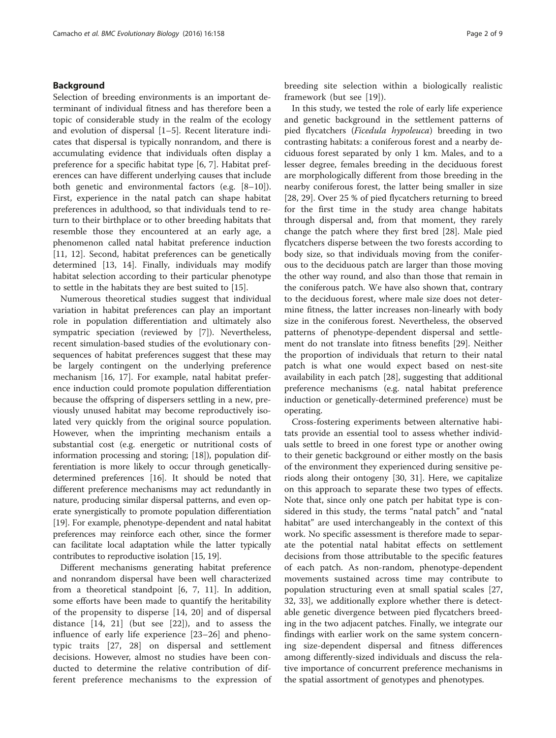## Background

Selection of breeding environments is an important determinant of individual fitness and has therefore been a topic of considerable study in the realm of the ecology and evolution of dispersal [[1](#page-7-0)–[5\]](#page-7-0). Recent literature indicates that dispersal is typically nonrandom, and there is accumulating evidence that individuals often display a preference for a specific habitat type [[6](#page-7-0), [7\]](#page-7-0). Habitat preferences can have different underlying causes that include both genetic and environmental factors (e.g. [\[8](#page-7-0)–[10](#page-7-0)]). First, experience in the natal patch can shape habitat preferences in adulthood, so that individuals tend to return to their birthplace or to other breeding habitats that resemble those they encountered at an early age, a phenomenon called natal habitat preference induction [[11, 12\]](#page-7-0). Second, habitat preferences can be genetically determined [[13, 14](#page-7-0)]. Finally, individuals may modify habitat selection according to their particular phenotype to settle in the habitats they are best suited to [[15\]](#page-7-0).

Numerous theoretical studies suggest that individual variation in habitat preferences can play an important role in population differentiation and ultimately also sympatric speciation (reviewed by [\[7](#page-7-0)]). Nevertheless, recent simulation-based studies of the evolutionary consequences of habitat preferences suggest that these may be largely contingent on the underlying preference mechanism [\[16, 17](#page-7-0)]. For example, natal habitat preference induction could promote population differentiation because the offspring of dispersers settling in a new, previously unused habitat may become reproductively isolated very quickly from the original source population. However, when the imprinting mechanism entails a substantial cost (e.g. energetic or nutritional costs of information processing and storing; [\[18](#page-7-0)]), population differentiation is more likely to occur through geneticallydetermined preferences [[16](#page-7-0)]. It should be noted that different preference mechanisms may act redundantly in nature, producing similar dispersal patterns, and even operate synergistically to promote population differentiation [[19](#page-7-0)]. For example, phenotype-dependent and natal habitat preferences may reinforce each other, since the former can facilitate local adaptation while the latter typically contributes to reproductive isolation [\[15, 19\]](#page-7-0).

Different mechanisms generating habitat preference and nonrandom dispersal have been well characterized from a theoretical standpoint [[6, 7](#page-7-0), [11](#page-7-0)]. In addition, some efforts have been made to quantify the heritability of the propensity to disperse [\[14](#page-7-0), [20\]](#page-7-0) and of dispersal distance [\[14](#page-7-0), [21](#page-7-0)] (but see [[22\]](#page-7-0)), and to assess the influence of early life experience [[23](#page-7-0)–[26](#page-7-0)] and phenotypic traits [[27](#page-7-0), [28](#page-7-0)] on dispersal and settlement decisions. However, almost no studies have been conducted to determine the relative contribution of different preference mechanisms to the expression of breeding site selection within a biologically realistic framework (but see [[19\]](#page-7-0)).

In this study, we tested the role of early life experience and genetic background in the settlement patterns of pied flycatchers (Ficedula hypoleuca) breeding in two contrasting habitats: a coniferous forest and a nearby deciduous forest separated by only 1 km. Males, and to a lesser degree, females breeding in the deciduous forest are morphologically different from those breeding in the nearby coniferous forest, the latter being smaller in size [[28, 29\]](#page-7-0). Over 25 % of pied flycatchers returning to breed for the first time in the study area change habitats through dispersal and, from that moment, they rarely change the patch where they first bred [\[28](#page-7-0)]. Male pied flycatchers disperse between the two forests according to body size, so that individuals moving from the coniferous to the deciduous patch are larger than those moving the other way round, and also than those that remain in the coniferous patch. We have also shown that, contrary to the deciduous forest, where male size does not determine fitness, the latter increases non-linearly with body size in the coniferous forest. Nevertheless, the observed patterns of phenotype-dependent dispersal and settlement do not translate into fitness benefits [[29\]](#page-7-0). Neither the proportion of individuals that return to their natal patch is what one would expect based on nest-site availability in each patch [[28\]](#page-7-0), suggesting that additional preference mechanisms (e.g. natal habitat preference induction or genetically-determined preference) must be operating.

Cross-fostering experiments between alternative habitats provide an essential tool to assess whether individuals settle to breed in one forest type or another owing to their genetic background or either mostly on the basis of the environment they experienced during sensitive periods along their ontogeny [[30](#page-7-0), [31\]](#page-7-0). Here, we capitalize on this approach to separate these two types of effects. Note that, since only one patch per habitat type is considered in this study, the terms "natal patch" and "natal habitat" are used interchangeably in the context of this work. No specific assessment is therefore made to separate the potential natal habitat effects on settlement decisions from those attributable to the specific features of each patch. As non-random, phenotype-dependent movements sustained across time may contribute to population structuring even at small spatial scales [[27](#page-7-0), [32, 33](#page-7-0)], we additionally explore whether there is detectable genetic divergence between pied flycatchers breeding in the two adjacent patches. Finally, we integrate our findings with earlier work on the same system concerning size-dependent dispersal and fitness differences among differently-sized individuals and discuss the relative importance of concurrent preference mechanisms in the spatial assortment of genotypes and phenotypes.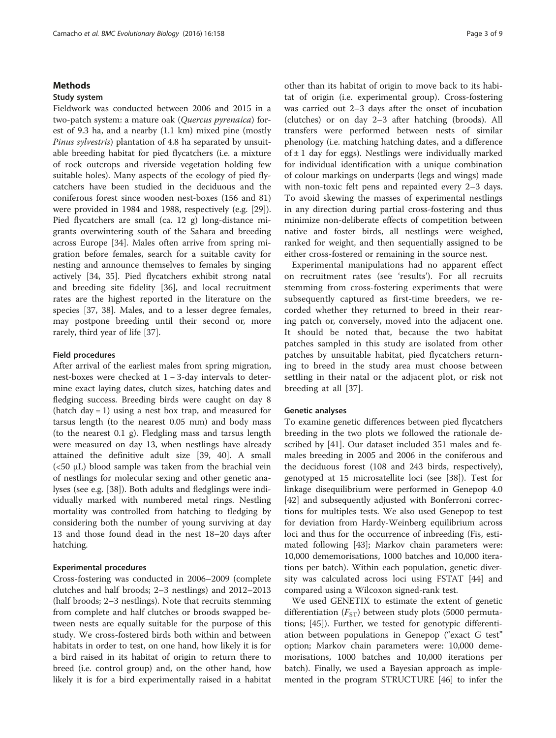## Methods

## Study system

Fieldwork was conducted between 2006 and 2015 in a two-patch system: a mature oak (Quercus pyrenaica) forest of 9.3 ha, and a nearby (1.1 km) mixed pine (mostly Pinus sylvestris) plantation of 4.8 ha separated by unsuitable breeding habitat for pied flycatchers (i.e. a mixture of rock outcrops and riverside vegetation holding few suitable holes). Many aspects of the ecology of pied flycatchers have been studied in the deciduous and the coniferous forest since wooden nest-boxes (156 and 81) were provided in 1984 and 1988, respectively (e.g. [\[29](#page-7-0)]). Pied flycatchers are small (ca. 12 g) long-distance migrants overwintering south of the Sahara and breeding across Europe [[34](#page-7-0)]. Males often arrive from spring migration before females, search for a suitable cavity for nesting and announce themselves to females by singing actively [[34, 35\]](#page-7-0). Pied flycatchers exhibit strong natal and breeding site fidelity [\[36](#page-7-0)], and local recruitment rates are the highest reported in the literature on the species [[37, 38\]](#page-7-0). Males, and to a lesser degree females, may postpone breeding until their second or, more rarely, third year of life [[37\]](#page-7-0).

## Field procedures

After arrival of the earliest males from spring migration, nest-boxes were checked at 1 − 3-day intervals to determine exact laying dates, clutch sizes, hatching dates and fledging success. Breeding birds were caught on day 8 (hatch  $day = 1$ ) using a nest box trap, and measured for tarsus length (to the nearest 0.05 mm) and body mass (to the nearest 0.1 g). Fledgling mass and tarsus length were measured on day 13, when nestlings have already attained the definitive adult size [[39, 40\]](#page-7-0). A small (<50 μL) blood sample was taken from the brachial vein of nestlings for molecular sexing and other genetic analyses (see e.g. [\[38](#page-7-0)]). Both adults and fledglings were individually marked with numbered metal rings. Nestling mortality was controlled from hatching to fledging by considering both the number of young surviving at day 13 and those found dead in the nest 18–20 days after hatching.

## Experimental procedures

Cross-fostering was conducted in 2006–2009 (complete clutches and half broods; 2–3 nestlings) and 2012–2013 (half broods; 2–3 nestlings). Note that recruits stemming from complete and half clutches or broods swapped between nests are equally suitable for the purpose of this study. We cross-fostered birds both within and between habitats in order to test, on one hand, how likely it is for a bird raised in its habitat of origin to return there to breed (i.e. control group) and, on the other hand, how likely it is for a bird experimentally raised in a habitat

other than its habitat of origin to move back to its habitat of origin (i.e. experimental group). Cross-fostering was carried out 2–3 days after the onset of incubation (clutches) or on day 2–3 after hatching (broods). All transfers were performed between nests of similar phenology (i.e. matching hatching dates, and a difference of  $\pm$  1 day for eggs). Nestlings were individually marked for individual identification with a unique combination of colour markings on underparts (legs and wings) made with non-toxic felt pens and repainted every 2–3 days. To avoid skewing the masses of experimental nestlings in any direction during partial cross-fostering and thus minimize non-deliberate effects of competition between native and foster birds, all nestlings were weighed, ranked for weight, and then sequentially assigned to be either cross-fostered or remaining in the source nest.

Experimental manipulations had no apparent effect on recruitment rates (see 'results'). For all recruits stemming from cross-fostering experiments that were subsequently captured as first-time breeders, we recorded whether they returned to breed in their rearing patch or, conversely, moved into the adjacent one. It should be noted that, because the two habitat patches sampled in this study are isolated from other patches by unsuitable habitat, pied flycatchers returning to breed in the study area must choose between settling in their natal or the adjacent plot, or risk not breeding at all [\[37](#page-7-0)].

## Genetic analyses

To examine genetic differences between pied flycatchers breeding in the two plots we followed the rationale described by [[41\]](#page-7-0). Our dataset included 351 males and females breeding in 2005 and 2006 in the coniferous and the deciduous forest (108 and 243 birds, respectively), genotyped at 15 microsatellite loci (see [\[38\]](#page-7-0)). Test for linkage disequilibrium were performed in Genepop 4.0 [[42\]](#page-7-0) and subsequently adjusted with Bonferroni corrections for multiples tests. We also used Genepop to test for deviation from Hardy-Weinberg equilibrium across loci and thus for the occurrence of inbreeding (Fis, estimated following [[43](#page-7-0)]; Markov chain parameters were: 10,000 dememorisations, 1000 batches and 10,000 iterations per batch). Within each population, genetic diversity was calculated across loci using FSTAT [\[44](#page-7-0)] and compared using a Wilcoxon signed-rank test.

We used GENETIX to estimate the extent of genetic differentiation  $(F_{ST})$  between study plots (5000 permutations; [\[45](#page-7-0)]). Further, we tested for genotypic differentiation between populations in Genepop ("exact G test" option; Markov chain parameters were: 10,000 dememorisations, 1000 batches and 10,000 iterations per batch). Finally, we used a Bayesian approach as implemented in the program STRUCTURE [[46\]](#page-7-0) to infer the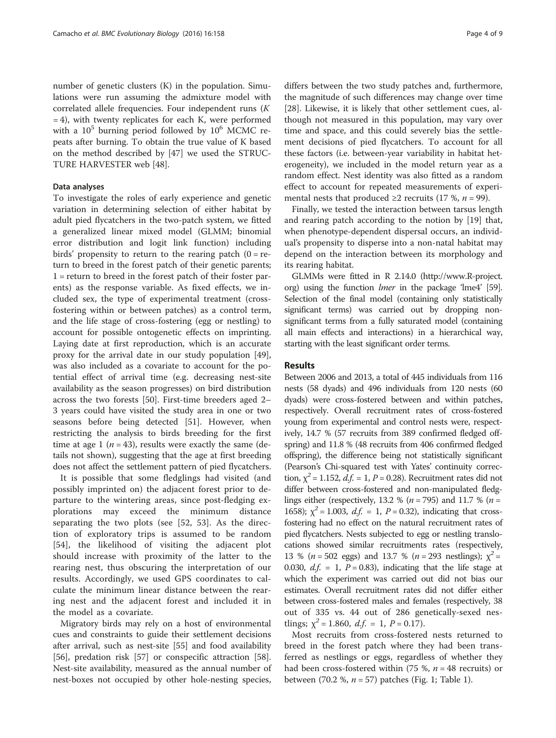number of genetic clusters (K) in the population. Simulations were run assuming the admixture model with correlated allele frequencies. Four independent runs (K  $= 4$ ), with twenty replicates for each K, were performed with a  $10^5$  burning period followed by  $10^6$  MCMC repeats after burning. To obtain the true value of K based on the method described by [\[47](#page-7-0)] we used the STRUC-TURE HARVESTER web [[48](#page-7-0)].

## Data analyses

To investigate the roles of early experience and genetic variation in determining selection of either habitat by adult pied flycatchers in the two-patch system, we fitted a generalized linear mixed model (GLMM; binomial error distribution and logit link function) including birds' propensity to return to the rearing patch  $(0 = re$ turn to breed in the forest patch of their genetic parents; 1 = return to breed in the forest patch of their foster parents) as the response variable. As fixed effects, we included sex, the type of experimental treatment (crossfostering within or between patches) as a control term, and the life stage of cross-fostering (egg or nestling) to account for possible ontogenetic effects on imprinting. Laying date at first reproduction, which is an accurate proxy for the arrival date in our study population [\[49](#page-7-0)], was also included as a covariate to account for the potential effect of arrival time (e.g. decreasing nest-site availability as the season progresses) on bird distribution across the two forests [[50](#page-7-0)]. First-time breeders aged 2– 3 years could have visited the study area in one or two seasons before being detected [\[51\]](#page-7-0). However, when restricting the analysis to birds breeding for the first time at age 1 ( $n = 43$ ), results were exactly the same (details not shown), suggesting that the age at first breeding does not affect the settlement pattern of pied flycatchers.

It is possible that some fledglings had visited (and possibly imprinted on) the adjacent forest prior to departure to the wintering areas, since post-fledging explorations may exceed the minimum distance separating the two plots (see [[52, 53](#page-8-0)]. As the direction of exploratory trips is assumed to be random [[54\]](#page-8-0), the likelihood of visiting the adjacent plot should increase with proximity of the latter to the rearing nest, thus obscuring the interpretation of our results. Accordingly, we used GPS coordinates to calculate the minimum linear distance between the rearing nest and the adjacent forest and included it in the model as a covariate.

Migratory birds may rely on a host of environmental cues and constraints to guide their settlement decisions after arrival, such as nest-site [[55](#page-8-0)] and food availability [[56\]](#page-8-0), predation risk [[57](#page-8-0)] or conspecific attraction [\[58](#page-8-0)]. Nest-site availability, measured as the annual number of nest-boxes not occupied by other hole-nesting species,

differs between the two study patches and, furthermore, the magnitude of such differences may change over time [[28\]](#page-7-0). Likewise, it is likely that other settlement cues, although not measured in this population, may vary over time and space, and this could severely bias the settlement decisions of pied flycatchers. To account for all these factors (i.e. between-year variability in habitat heterogeneity), we included in the model return year as a random effect. Nest identity was also fitted as a random effect to account for repeated measurements of experimental nests that produced  $\geq 2$  recruits (17 %, *n* = 99).

Finally, we tested the interaction between tarsus length and rearing patch according to the notion by [\[19](#page-7-0)] that, when phenotype-dependent dispersal occurs, an individual's propensity to disperse into a non-natal habitat may depend on the interaction between its morphology and its rearing habitat.

GLMMs were fitted in R 2.14.0 [\(http://www.R-project.](http://www.R-project.org) [org\)](http://www.R-project.org) using the function lmer in the package 'lme4' [\[59](#page-8-0)]. Selection of the final model (containing only statistically significant terms) was carried out by dropping nonsignificant terms from a fully saturated model (containing all main effects and interactions) in a hierarchical way, starting with the least significant order terms.

## Results

Between 2006 and 2013, a total of 445 individuals from 116 nests (58 dyads) and 496 individuals from 120 nests (60 dyads) were cross-fostered between and within patches, respectively. Overall recruitment rates of cross-fostered young from experimental and control nests were, respectively, 14.7 % (57 recruits from 389 confirmed fledged offspring) and 11.8 % (48 recruits from 406 confirmed fledged offspring), the difference being not statistically significant (Pearson's Chi-squared test with Yates' continuity correction,  $\chi^2$  = 1.152, d.f. = 1, P = 0.28). Recruitment rates did not differ between cross-fostered and non-manipulated fledglings either (respectively, 13.2 % ( $n = 795$ ) and 11.7 % ( $n =$ 1658);  $\chi^2 = 1.003$ , d.f. = 1, P = 0.32), indicating that crossfostering had no effect on the natural recruitment rates of pied flycatchers. Nests subjected to egg or nestling translocations showed similar recruitments rates (respectively, 13 % (*n* = 502 eggs) and 13.7 % (*n* = 293 nestlings);  $\chi^2$  = 0.030,  $d.f. = 1$ ,  $P = 0.83$ ), indicating that the life stage at which the experiment was carried out did not bias our estimates. Overall recruitment rates did not differ either between cross-fostered males and females (respectively, 38 out of 335 vs. 44 out of 286 genetically-sexed nestlings;  $\chi^2 = 1.860$ ,  $d.f. = 1$ ,  $P = 0.17$ ).

Most recruits from cross-fostered nests returned to breed in the forest patch where they had been transferred as nestlings or eggs, regardless of whether they had been cross-fostered within (75 %,  $n = 48$  recruits) or between (70.2 %,  $n = 57$ ) patches (Fig. [1](#page-4-0); Table 1).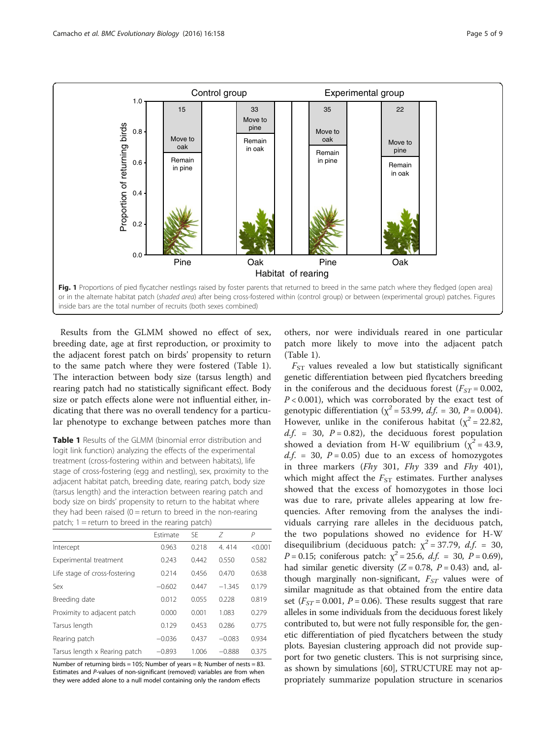<span id="page-4-0"></span>

Results from the GLMM showed no effect of sex, breeding date, age at first reproduction, or proximity to the adjacent forest patch on birds' propensity to return to the same patch where they were fostered (Table 1). The interaction between body size (tarsus length) and rearing patch had no statistically significant effect. Body size or patch effects alone were not influential either, indicating that there was no overall tendency for a particular phenotype to exchange between patches more than

Table 1 Results of the GLMM (binomial error distribution and logit link function) analyzing the effects of the experimental treatment (cross-fostering within and between habitats), life stage of cross-fostering (egg and nestling), sex, proximity to the adjacent habitat patch, breeding date, rearing patch, body size (tarsus length) and the interaction between rearing patch and body size on birds' propensity to return to the habitat where they had been raised ( $0 =$  return to breed in the non-rearing patch;  $1 =$  return to breed in the rearing patch)

|                               | Estimate | SF    | 7        | P       |
|-------------------------------|----------|-------|----------|---------|
| Intercept                     | 0.963    | 0.218 | 4.414    | < 0.001 |
| Experimental treatment        | 0.243    | 0.442 | 0.550    | 0.582   |
| Life stage of cross-fostering | 0.214    | 0.456 | 0.470    | 0.638   |
| Sex                           | $-0.602$ | 0.447 | $-1.345$ | 0.179   |
| Breeding date                 | 0.012    | 0.055 | 0.228    | 0.819   |
| Proximity to adjacent patch   | 0.000    | 0.001 | 1.083    | 0.279   |
| Tarsus length                 | 0.129    | 0.453 | 0.286    | 0.775   |
| Rearing patch                 | $-0.036$ | 0.437 | $-0.083$ | 0.934   |
| Tarsus length x Rearing patch | $-0.893$ | 1.006 | $-0.888$ | 0.375   |

Number of returning birds = 105; Number of years = 8; Number of nests = 83. Estimates and P-values of non-significant (removed) variables are from when they were added alone to a null model containing only the random effects

others, nor were individuals reared in one particular patch more likely to move into the adjacent patch (Table 1).

 $F_{ST}$  values revealed a low but statistically significant genetic differentiation between pied flycatchers breeding in the coniferous and the deciduous forest ( $F_{ST}$  = 0.002,  $P < 0.001$ ), which was corroborated by the exact test of genotypic differentiation ( $\chi^2$  = 53.99, d.f. = 30, P = 0.004). However, unlike in the coniferous habitat ( $\chi^2$  = 22.82,  $d.f. = 30, P = 0.82$ , the deciduous forest population showed a deviation from H-W equilibrium ( $\chi^2$  = 43.9,  $d.f. = 30, P = 0.05$  due to an excess of homozygotes in three markers (Fhy 301, Fhy 339 and Fhy 401), which might affect the  $F_{ST}$  estimates. Further analyses showed that the excess of homozygotes in those loci was due to rare, private alleles appearing at low frequencies. After removing from the analyses the individuals carrying rare alleles in the deciduous patch, the two populations showed no evidence for H-W disequilibrium (deciduous patch:  $\chi^2$  = 37.79, d.f. = 30,  $P = 0.15$ ; coniferous patch:  $\chi^2 = 25.6$ ,  $d.f. = 30$ ,  $P = 0.69$ ), had similar genetic diversity  $(Z = 0.78, P = 0.43)$  and, although marginally non-significant,  $F_{ST}$  values were of similar magnitude as that obtained from the entire data set ( $F_{ST}$  = 0.001, P = 0.06). These results suggest that rare alleles in some individuals from the deciduous forest likely contributed to, but were not fully responsible for, the genetic differentiation of pied flycatchers between the study plots. Bayesian clustering approach did not provide support for two genetic clusters. This is not surprising since, as shown by simulations [[60](#page-8-0)], STRUCTURE may not appropriately summarize population structure in scenarios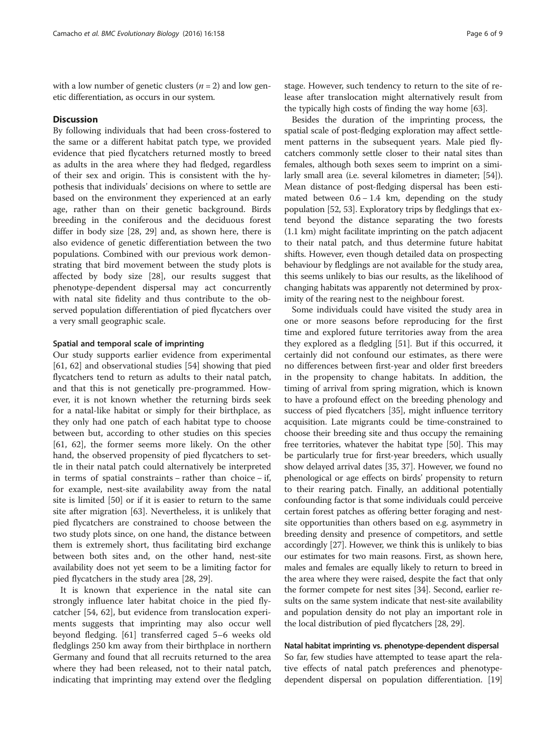with a low number of genetic clusters ( $n = 2$ ) and low genetic differentiation, as occurs in our system.

## **Discussion**

By following individuals that had been cross-fostered to the same or a different habitat patch type, we provided evidence that pied flycatchers returned mostly to breed as adults in the area where they had fledged, regardless of their sex and origin. This is consistent with the hypothesis that individuals' decisions on where to settle are based on the environment they experienced at an early age, rather than on their genetic background. Birds breeding in the coniferous and the deciduous forest differ in body size [[28](#page-7-0), [29](#page-7-0)] and, as shown here, there is also evidence of genetic differentiation between the two populations. Combined with our previous work demonstrating that bird movement between the study plots is affected by body size [\[28](#page-7-0)], our results suggest that phenotype-dependent dispersal may act concurrently with natal site fidelity and thus contribute to the observed population differentiation of pied flycatchers over a very small geographic scale.

#### Spatial and temporal scale of imprinting

Our study supports earlier evidence from experimental [[61, 62\]](#page-8-0) and observational studies [\[54\]](#page-8-0) showing that pied flycatchers tend to return as adults to their natal patch, and that this is not genetically pre-programmed. However, it is not known whether the returning birds seek for a natal-like habitat or simply for their birthplace, as they only had one patch of each habitat type to choose between but, according to other studies on this species [[61, 62\]](#page-8-0), the former seems more likely. On the other hand, the observed propensity of pied flycatchers to settle in their natal patch could alternatively be interpreted in terms of spatial constraints − rather than choice − if, for example, nest-site availability away from the natal site is limited [[50\]](#page-7-0) or if it is easier to return to the same site after migration [[63\]](#page-8-0). Nevertheless, it is unlikely that pied flycatchers are constrained to choose between the two study plots since, on one hand, the distance between them is extremely short, thus facilitating bird exchange between both sites and, on the other hand, nest-site availability does not yet seem to be a limiting factor for pied flycatchers in the study area [[28, 29\]](#page-7-0).

It is known that experience in the natal site can strongly influence later habitat choice in the pied flycatcher [[54, 62](#page-8-0)], but evidence from translocation experiments suggests that imprinting may also occur well beyond fledging. [\[61](#page-8-0)] transferred caged 5–6 weeks old fledglings 250 km away from their birthplace in northern Germany and found that all recruits returned to the area where they had been released, not to their natal patch, indicating that imprinting may extend over the fledgling

Besides the duration of the imprinting process, the spatial scale of post-fledging exploration may affect settlement patterns in the subsequent years. Male pied flycatchers commonly settle closer to their natal sites than females, although both sexes seem to imprint on a similarly small area (i.e. several kilometres in diameter; [[54](#page-8-0)]). Mean distance of post-fledging dispersal has been estimated between 0.6 − 1.4 km, depending on the study population [[52](#page-8-0), [53\]](#page-8-0). Exploratory trips by fledglings that extend beyond the distance separating the two forests (1.1 km) might facilitate imprinting on the patch adjacent to their natal patch, and thus determine future habitat shifts. However, even though detailed data on prospecting behaviour by fledglings are not available for the study area, this seems unlikely to bias our results, as the likelihood of changing habitats was apparently not determined by proximity of the rearing nest to the neighbour forest.

Some individuals could have visited the study area in one or more seasons before reproducing for the first time and explored future territories away from the area they explored as a fledgling [[51](#page-7-0)]. But if this occurred, it certainly did not confound our estimates, as there were no differences between first-year and older first breeders in the propensity to change habitats. In addition, the timing of arrival from spring migration, which is known to have a profound effect on the breeding phenology and success of pied flycatchers [\[35](#page-7-0)], might influence territory acquisition. Late migrants could be time-constrained to choose their breeding site and thus occupy the remaining free territories, whatever the habitat type [\[50\]](#page-7-0). This may be particularly true for first-year breeders, which usually show delayed arrival dates [[35](#page-7-0), [37\]](#page-7-0). However, we found no phenological or age effects on birds' propensity to return to their rearing patch. Finally, an additional potentially confounding factor is that some individuals could perceive certain forest patches as offering better foraging and nestsite opportunities than others based on e.g. asymmetry in breeding density and presence of competitors, and settle accordingly [\[27](#page-7-0)]. However, we think this is unlikely to bias our estimates for two main reasons. First, as shown here, males and females are equally likely to return to breed in the area where they were raised, despite the fact that only the former compete for nest sites [\[34](#page-7-0)]. Second, earlier results on the same system indicate that nest-site availability and population density do not play an important role in the local distribution of pied flycatchers [[28](#page-7-0), [29\]](#page-7-0).

Natal habitat imprinting vs. phenotype-dependent dispersal So far, few studies have attempted to tease apart the relative effects of natal patch preferences and phenotypedependent dispersal on population differentiation. [[19](#page-7-0)]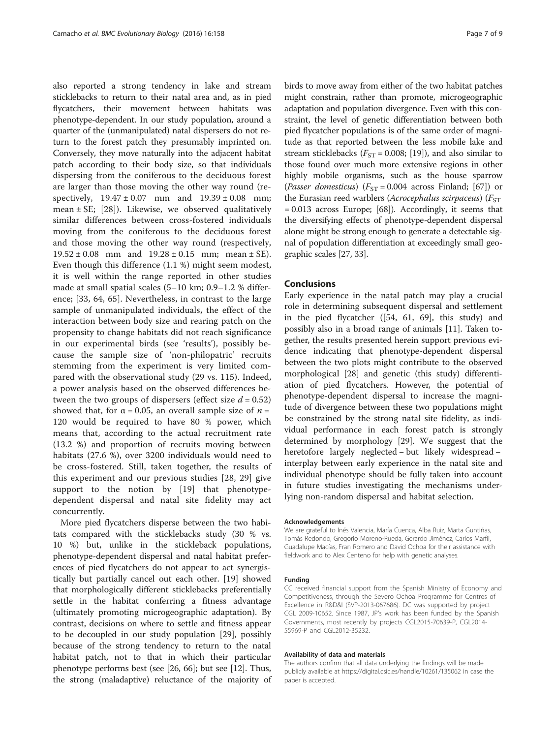also reported a strong tendency in lake and stream sticklebacks to return to their natal area and, as in pied flycatchers, their movement between habitats was phenotype-dependent. In our study population, around a quarter of the (unmanipulated) natal dispersers do not return to the forest patch they presumably imprinted on. Conversely, they move naturally into the adjacent habitat patch according to their body size, so that individuals dispersing from the coniferous to the deciduous forest are larger than those moving the other way round (respectively,  $19.47 \pm 0.07$  mm and  $19.39 \pm 0.08$  mm; mean  $\pm$  SE; [\[28](#page-7-0)]). Likewise, we observed qualitatively similar differences between cross-fostered individuals moving from the coniferous to the deciduous forest and those moving the other way round (respectively,  $19.52 \pm 0.08$  mm and  $19.28 \pm 0.15$  mm; mean  $\pm$  SE). Even though this difference (1.1 %) might seem modest, it is well within the range reported in other studies made at small spatial scales (5–10 km; 0.9–1.2 % difference; [[33,](#page-7-0) [64](#page-8-0), [65\]](#page-8-0). Nevertheless, in contrast to the large sample of unmanipulated individuals, the effect of the interaction between body size and rearing patch on the propensity to change habitats did not reach significance in our experimental birds (see 'results'), possibly because the sample size of 'non-philopatric' recruits stemming from the experiment is very limited compared with the observational study (29 vs. 115). Indeed, a power analysis based on the observed differences between the two groups of dispersers (effect size  $d = 0.52$ ) showed that, for  $\alpha = 0.05$ , an overall sample size of  $n =$ 120 would be required to have 80 % power, which means that, according to the actual recruitment rate (13.2 %) and proportion of recruits moving between habitats (27.6 %), over 3200 individuals would need to be cross-fostered. Still, taken together, the results of this experiment and our previous studies [[28, 29\]](#page-7-0) give support to the notion by [[19\]](#page-7-0) that phenotypedependent dispersal and natal site fidelity may act concurrently.

More pied flycatchers disperse between the two habitats compared with the sticklebacks study (30 % vs. 10 %) but, unlike in the stickleback populations, phenotype-dependent dispersal and natal habitat preferences of pied flycatchers do not appear to act synergistically but partially cancel out each other. [[19](#page-7-0)] showed that morphologically different sticklebacks preferentially settle in the habitat conferring a fitness advantage (ultimately promoting microgeographic adaptation). By contrast, decisions on where to settle and fitness appear to be decoupled in our study population [[29](#page-7-0)], possibly because of the strong tendency to return to the natal habitat patch, not to that in which their particular phenotype performs best (see [[26,](#page-7-0) [66](#page-8-0)]; but see [[12](#page-7-0)]. Thus, the strong (maladaptive) reluctance of the majority of

birds to move away from either of the two habitat patches might constrain, rather than promote, microgeographic adaptation and population divergence. Even with this constraint, the level of genetic differentiation between both pied flycatcher populations is of the same order of magnitude as that reported between the less mobile lake and stream sticklebacks ( $F_{ST}$  = 0.008; [[19\]](#page-7-0)), and also similar to those found over much more extensive regions in other highly mobile organisms, such as the house sparrow (Passer domesticus) ( $F_{ST} = 0.004$  across Finland; [\[67](#page-8-0)]) or the Eurasian reed warblers (Acrocephalus scirpaceus) ( $F_{ST}$  $= 0.013$  across Europe; [\[68\]](#page-8-0)). Accordingly, it seems that the diversifying effects of phenotype-dependent dispersal alone might be strong enough to generate a detectable signal of population differentiation at exceedingly small geographic scales [\[27](#page-7-0), [33](#page-7-0)].

## **Conclusions**

Early experience in the natal patch may play a crucial role in determining subsequent dispersal and settlement in the pied flycatcher ([[54](#page-8-0), [61, 69\]](#page-8-0), this study) and possibly also in a broad range of animals [\[11](#page-7-0)]. Taken together, the results presented herein support previous evidence indicating that phenotype-dependent dispersal between the two plots might contribute to the observed morphological [[28\]](#page-7-0) and genetic (this study) differentiation of pied flycatchers. However, the potential of phenotype-dependent dispersal to increase the magnitude of divergence between these two populations might be constrained by the strong natal site fidelity, as individual performance in each forest patch is strongly determined by morphology [\[29](#page-7-0)]. We suggest that the heretofore largely neglected − but likely widespread − interplay between early experience in the natal site and individual phenotype should be fully taken into account in future studies investigating the mechanisms underlying non-random dispersal and habitat selection.

#### Acknowledgements

We are grateful to Inés Valencia, María Cuenca, Alba Ruiz, Marta Guntiñas, Tomás Redondo, Gregorio Moreno-Rueda, Gerardo Jiménez, Carlos Marfil, Guadalupe Macías, Fran Romero and David Ochoa for their assistance with fieldwork and to Alex Centeno for help with genetic analyses.

#### Funding

CC received financial support from the Spanish Ministry of Economy and Competitiveness, through the Severo Ochoa Programme for Centres of Excellence in R&D&I (SVP-2013-067686). DC was supported by project CGL 2009-10652. Since 1987, JP's work has been funded by the Spanish Governments, most recently by projects CGL2015-70639-P, CGL2014- 55969-P and CGL2012-35232.

#### Availability of data and materials

The authors confirm that all data underlying the findings will be made publicly available at<https://digital.csic.es/handle/10261/135062> in case the paper is accepted.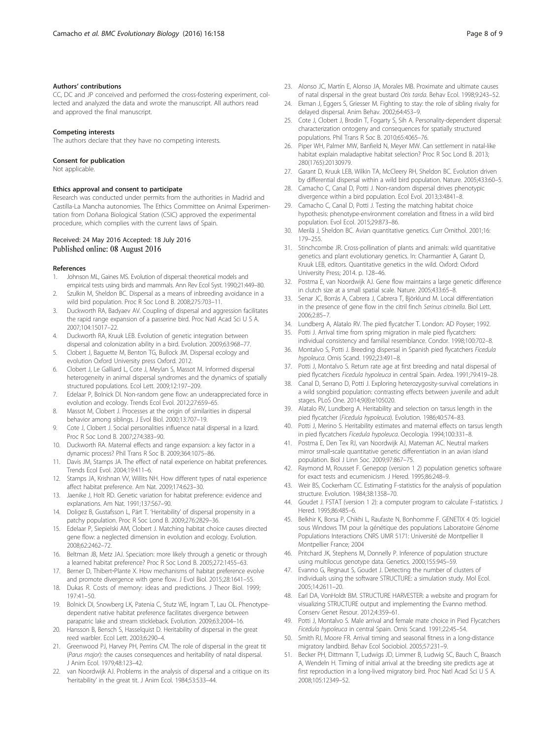## <span id="page-7-0"></span>Authors' contributions

CC, DC and JP conceived and performed the cross-fostering experiment, collected and analyzed the data and wrote the manuscript. All authors read and approved the final manuscript.

#### Competing interests

The authors declare that they have no competing interests.

#### Consent for publication

Not applicable.

#### Ethics approval and consent to participate

Research was conducted under permits from the authorities in Madrid and Castilla-La Mancha autonomies. The Ethics Committee on Animal Experimentation from Doñana Biological Station (CSIC) approved the experimental procedure, which complies with the current laws of Spain.

#### Received: 24 May 2016 Accepted: 18 July 2016 Published online: 08 August 2016

### References

- 1. Johnson ML, Gaines MS. Evolution of dispersal: theoretical models and empirical tests using birds and mammals. Ann Rev Ecol Syst. 1990;21:449–80.
- 2. Szulkin M, Sheldon BC. Dispersal as a means of inbreeding avoidance in a wild bird population. Proc R Soc Lond B. 2008;275:703–11.
- 3. Duckworth RA, Badyaev AV. Coupling of dispersal and aggression facilitates the rapid range expansion of a passerine bird. Proc Natl Acad Sci U S A. 2007;104:15017–22.
- 4. Duckworth RA, Kruuk LEB. Evolution of genetic integration between dispersal and colonization ability in a bird. Evolution. 2009;63:968–77.
- 5. Clobert J, Baguette M, Benton TG, Bullock JM. Dispersal ecology and evolution Oxford University press Oxford. 2012.
- 6. Clobert J, Le Galliard L, Cote J, Meylan S, Massot M. Informed dispersal heterogeneity in animal dispersal syndromes and the dynamics of spatially structured populations. Ecol Lett. 2009;12:197–209.
- 7. Edelaar P, Bolnick DI. Non-random gene flow: an underappreciated force in evolution and ecology. Trends Ecol Evol. 2012;27:659–65.
- 8. Massot M, Clobert J. Processes at the origin of similarities in dispersal behavior among siblings. J Evol Biol. 2000;13:707–19.
- Cote J, Clobert J. Social personalities influence natal dispersal in a lizard. Proc R Soc Lond B. 2007;274:383–90.
- 10. Duckworth RA. Maternal effects and range expansion: a key factor in a dynamic process? Phil Trans R Soc B. 2009;364:1075–86.
- 11. Davis JM, Stamps JA. The effect of natal experience on habitat preferences. Trends Ecol Evol. 2004;19:411–6.
- 12. Stamps JA, Krishnan VV, Willits NH. How different types of natal experience affect habitat preference. Am Nat. 2009;174:623–30.
- 13. Jaenike J, Holt RD. Genetic variation for habitat preference: evidence and explanations. Am Nat. 1991;137:S67–90.
- 14. Doligez B, Gustafsson L, Pärt T. 'Heritability' of dispersal propensity in a patchy population. Proc R Soc Lond B. 2009;276:2829–36.
- 15. Edelaar P, Siepielski AM, Clobert J. Matching habitat choice causes directed gene flow: a neglected dimension in evolution and ecology. Evolution. 2008;62:2462–72.
- 16. Beltman JB, Metz JAJ. Speciation: more likely through a genetic or through a learned habitat preference? Proc R Soc Lond B. 2005;272:1455–63.
- 17. Berner D, Thibert-Plante X. How mechanisms of habitat preference evolve and promote divergence with gene flow. J Evol Biol. 2015;28:1641–55.
- 18. Dukas R. Costs of memory: ideas and predictions. J Theor Biol. 1999; 197:41–50.
- 19. Bolnick DI, Snowberg LK, Patenia C, Stutz WE, Ingram T, Lau OL. Phenotypedependent native habitat preference facilitates divergence between parapatric lake and stream stickleback. Evolution. 2009;63:2004–16.
- 20. Hansson B, Bensch S, Hasselquist D. Heritability of dispersal in the great reed warbler. Ecol Lett. 2003;6:290–4.
- 21. Greenwood PJ, Harvey PH, Perrins CM. The role of dispersal in the great tit (Parus major): the causes consequences and heritability of natal dispersal. J Anim Ecol. 1979;48:123–42.
- 22. van Noordwijk AJ. Problems in the analysis of dispersal and a critique on its 'heritability' in the great tit. J Anim Ecol. 1984;53:533–44.
- 23. Alonso JC, Martín E, Alonso JA, Morales MB. Proximate and ultimate causes of natal dispersal in the great bustard Otis tarda. Behav Ecol. 1998;9:243–52.
- Ekman J, Eggers S, Griesser M, Fighting to stay: the role of sibling rivalry for delayed dispersal. Anim Behav. 2002;64:453–9.
- 25. Cote J, Clobert J, Brodin T, Fogarty S, Sih A. Personality-dependent dispersal: characterization ontogeny and consequences for spatially structured populations. Phil Trans R Soc B. 2010;65:4065–76.
- 26. Piper WH, Palmer MW, Banfield N, Meyer MW. Can settlement in natal-like habitat explain maladaptive habitat selection? Proc R Soc Lond B. 2013; 280(1765):20130979.
- 27. Garant D, Kruuk LEB, Wilkin TA, McCleery RH, Sheldon BC. Evolution driven by differential dispersal within a wild bird population. Nature. 2005;433:60–5.
- 28. Camacho C, Canal D, Potti J. Non-random dispersal drives phenotypic divergence within a bird population. Ecol Evol. 2013;3:4841–8.
- 29. Camacho C, Canal D, Potti J. Testing the matching habitat choice hypothesis: phenotype-environment correlation and fitness in a wild bird population. Evol Ecol. 2015;29:873–86.
- 30. Merilä J, Sheldon BC. Avian quantitative genetics. Curr Ornithol. 2001;16: 179–255.
- 31. Stinchcombe JR. Cross-pollination of plants and animals: wild quantitative genetics and plant evolutionary genetics. In: Charmantier A, Garant D, Kruuk LEB, editors. Quantitative genetics in the wild. Oxford: Oxford University Press; 2014. p. 128–46.
- 32. Postma E, van Noordwijk AJ. Gene flow maintains a large genetic difference in clutch size at a small spatial scale. Nature. 2005;433:65–8.
- 33. Senar JC, Borrás A, Cabrera J, Cabrera T, Björklund M. Local differentiation in the presence of gene flow in the citril finch Serinus citrinella. Biol Lett. 2006;2:85–7.
- 34. Lundberg A, Alatalo RV. The pied flycatcher T. London: AD Poyser; 1992.
- 35. Potti J. Arrival time from spring migration in male pied flycatchers: individual consistency and familial resemblance. Condor. 1998;100:702–8.
- 36. Montalvo S, Potti J. Breeding dispersal in Spanish pied flycatchers Ficedula hypoleuca. Ornis Scand. 1992;23:491–8.
- 37. Potti J, Montalvo S. Return rate age at first breeding and natal dispersal of pied flycatchers Ficedula hypoleuca in central Spain. Ardea. 1991;79:419–28.
- 38. Canal D, Serrano D, Potti J. Exploring heterozygosity-survival correlations in a wild songbird population: contrasting effects between juvenile and adult stages. PLoS One. 2014;9(8):e105020.
- 39. Alatalo RV, Lundberg A. Heritability and selection on tarsus length in the pied flycatcher (Ficedula hypoleuca). Evolution. 1986;40:574-83.
- 40. Potti J, Merino S. Heritability estimates and maternal effects on tarsus length in pied flycatchers Ficedula hypoleuca. Oecologia. 1994;100:331–8.
- 41. Postma E, Den Tex RJ, van Noordwijk AJ, Mateman AC. Neutral markers mirror small‐scale quantitative genetic differentiation in an avian island population. Biol J Linn Soc. 2009;97:867–75.
- 42. Raymond M, Rousset F. Genepop (version 1 2) population genetics software for exact tests and ecumenicism. J Hered. 1995;86:248–9.
- 43. Weir BS, Cockerham CC. Estimating F-statistics for the analysis of population structure. Evolution. 1984;38:1358–70.
- 44. Goudet J. FSTAT (version 1 2): a computer program to calculate F-statistics. J Hered. 1995;86:485–6.
- 45. Belkhir K, Borsa P, Chikhi L, Raufaste N, Bonhomme F. GENETIX 4 05: logiciel sous Windows TM pour la génétique des populations Laboratoire Génome Populations Interactions CNRS UMR 5171: Université de Montpellier II Montpellier France; 2004
- 46. Pritchard JK, Stephens M, Donnelly P. Inference of population structure using multilocus genotype data. Genetics. 2000;155:945–59.
- 47. Evanno G, Regnaut S, Goudet J. Detecting the number of clusters of individuals using the software STRUCTURE: a simulation study. Mol Ecol. 2005;14:2611–20.
- 48. Earl DA, VonHoldt BM. STRUCTURE HARVESTER: a website and program for visualizing STRUCTURE output and implementing the Evanno method. Conserv Genet Resour. 2012;4:359–61.
- 49. Potti J, Montalvo S. Male arrival and female mate choice in Pied Flycatchers Ficedula hypoleuca in central Spain. Ornis Scand. 1991;22:45–54.
- 50. Smith RJ, Moore FR. Arrival timing and seasonal fitness in a long-distance migratory landbird. Behav Ecol Sociobiol. 2005;57:231–9.
- 51. Becker PH, Dittmann T, Ludwigs JD, Limmer B, Ludwig SC, Bauch C, Braasch A, Wendeln H. Timing of initial arrival at the breeding site predicts age at first reproduction in a long-lived migratory bird. Proc Natl Acad Sci U S A. 2008;105:12349–52.